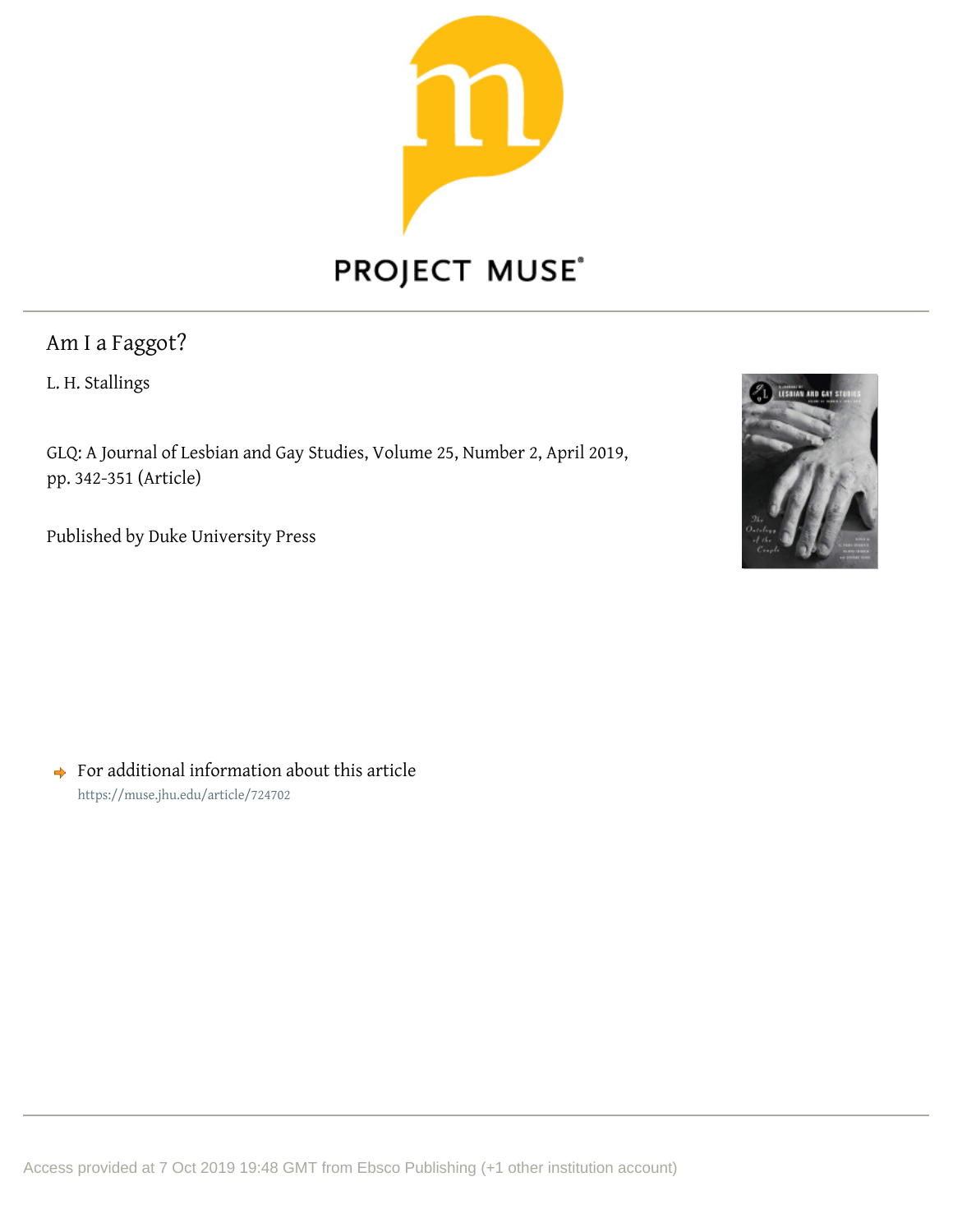

# PROJECT MUSE®

Am I a Faggot?

L. H. Stallings

GLQ: A Journal of Lesbian and Gay Studies, Volume 25, Number 2, April 2019, pp. 342-351 (Article)

Published by Duke University Press



 $\rightarrow$  For additional information about this article <https://muse.jhu.edu/article/724702>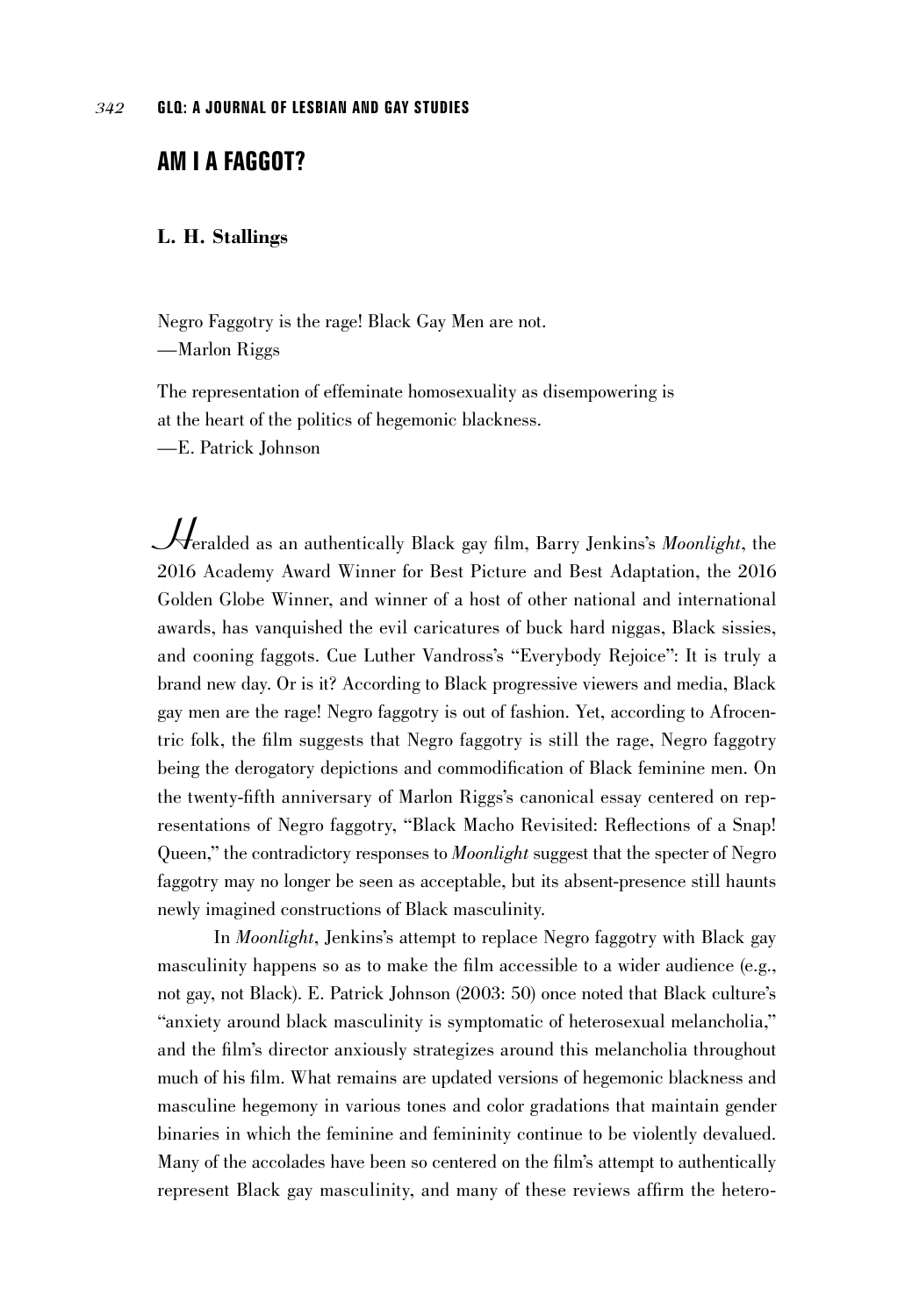# **AM I A FAGGOT?**

## **L. H. Stallings**

Negro Faggotry is the rage! Black Gay Men are not. —Marlon Riggs

The representation of effeminate homosexuality as disempowering is at the heart of the politics of hegemonic blackness.

—E. Patrick Johnson

*H*eralded as an authentically Black gay film, Barry Jenkins's *Moonlight*, the 2016 Academy Award Winner for Best Picture and Best Adaptation, the 2016 Golden Globe Winner, and winner of a host of other national and international awards, has vanquished the evil caricatures of buck hard niggas, Black sissies, and cooning faggots. Cue Luther Vandross's "Everybody Rejoice": It is truly a brand new day. Or is it? According to Black progressive viewers and media, Black gay men are the rage! Negro faggotry is out of fashion. Yet, according to Afrocentric folk, the film suggests that Negro faggotry is still the rage, Negro faggotry being the derogatory depictions and commodification of Black feminine men. On the twenty-fifth anniversary of Marlon Riggs's canonical essay centered on representations of Negro faggotry, "Black Macho Revisited: Reflections of a Snap! Queen," the contradictory responses to *Moonlight* suggest that the specter of Negro faggotry may no longer be seen as acceptable, but its absent-presence still haunts newly imagined constructions of Black masculinity.

In *Moonlight*, Jenkins's attempt to replace Negro faggotry with Black gay masculinity happens so as to make the film accessible to a wider audience (e.g., not gay, not Black). E. Patrick Johnson (2003: 50) once noted that Black culture's "anxiety around black masculinity is symptomatic of heterosexual melancholia," and the film's director anxiously strategizes around this melancholia throughout much of his film. What remains are updated versions of hegemonic blackness and masculine hegemony in various tones and color gradations that maintain gender binaries in which the feminine and femininity continue to be violently devalued. Many of the accolades have been so centered on the film's attempt to authentically represent Black gay masculinity, and many of these reviews affirm the hetero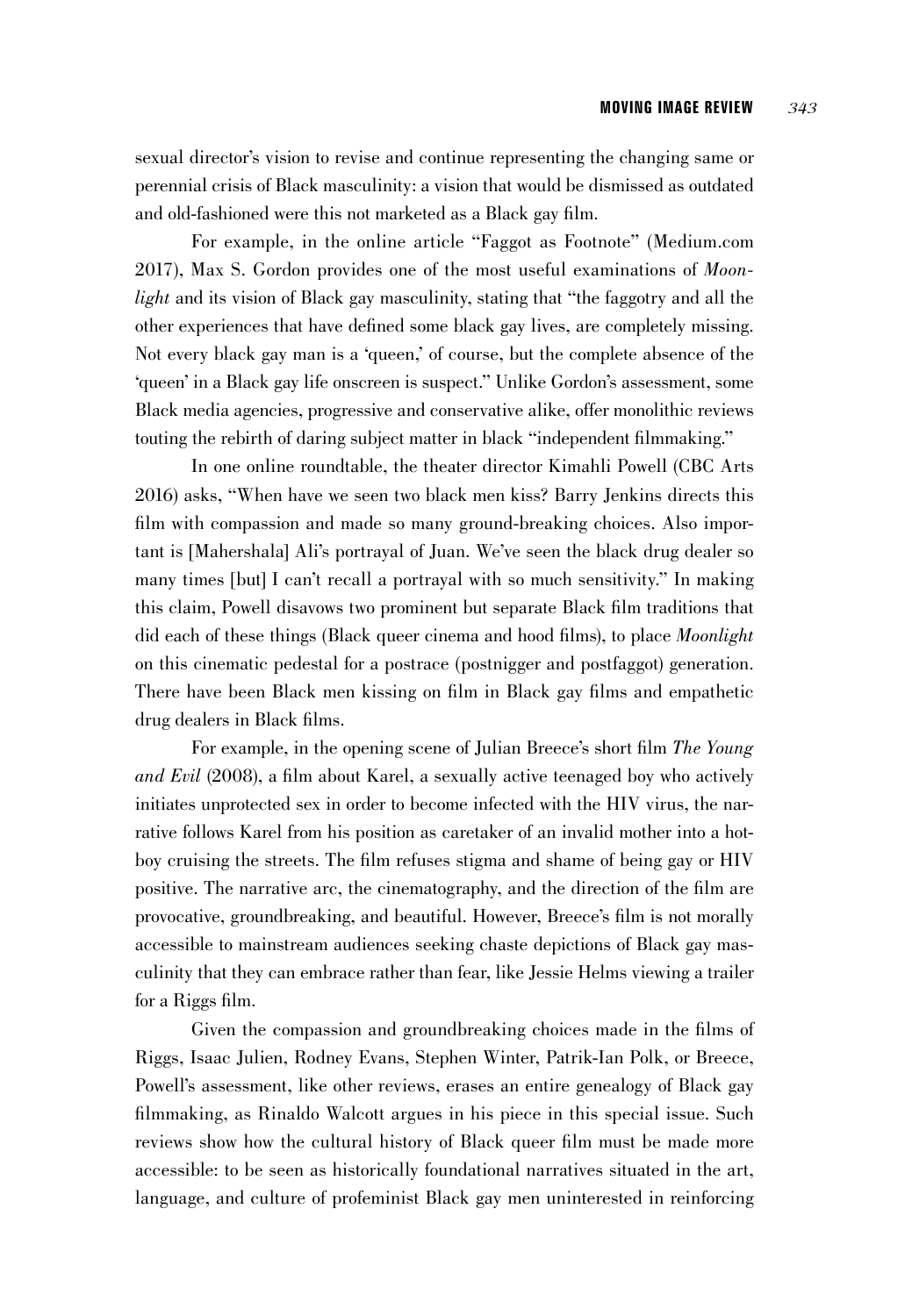sexual director's vision to revise and continue representing the changing same or perennial crisis of Black masculinity: a vision that would be dismissed as outdated and old-fashioned were this not marketed as a Black gay film.

For example, in the online article "Faggot as Footnote" (Medium.com 2017), Max S. Gordon provides one of the most useful examinations of *Moonlight* and its vision of Black gay masculinity, stating that "the faggotry and all the other experiences that have defined some black gay lives, are completely missing. Not every black gay man is a 'queen,' of course, but the complete absence of the 'queen' in a Black gay life onscreen is suspect." Unlike Gordon's assessment, some Black media agencies, progressive and conservative alike, offer monolithic reviews touting the rebirth of daring subject matter in black "independent filmmaking."

In one online roundtable, the theater director Kimahli Powell (CBC Arts 2016) asks, "When have we seen two black men kiss? Barry Jenkins directs this film with compassion and made so many ground-breaking choices. Also important is [Mahershala] Ali's portrayal of Juan. We've seen the black drug dealer so many times [but] I can't recall a portrayal with so much sensitivity." In making this claim, Powell disavows two prominent but separate Black film traditions that did each of these things (Black queer cinema and hood films), to place *Moonlight* on this cinematic pedestal for a postrace (postnigger and postfaggot) generation. There have been Black men kissing on film in Black gay films and empathetic drug dealers in Black films.

For example, in the opening scene of Julian Breece's short film *The Young and Evil* (2008), a film about Karel, a sexually active teenaged boy who actively initiates unprotected sex in order to become infected with the HIV virus, the narrative follows Karel from his position as caretaker of an invalid mother into a hotboy cruising the streets. The film refuses stigma and shame of being gay or HIV positive. The narrative arc, the cinematography, and the direction of the film are provocative, groundbreaking, and beautiful. However, Breece's film is not morally accessible to mainstream audiences seeking chaste depictions of Black gay masculinity that they can embrace rather than fear, like Jessie Helms viewing a trailer for a Riggs film.

Given the compassion and groundbreaking choices made in the films of Riggs, Isaac Julien, Rodney Evans, Stephen Winter, Patrik-Ian Polk, or Breece, Powell's assessment, like other reviews, erases an entire genealogy of Black gay filmmaking, as Rinaldo Walcott argues in his piece in this special issue. Such reviews show how the cultural history of Black queer film must be made more accessible: to be seen as historically foundational narratives situated in the art, language, and culture of profeminist Black gay men uninterested in reinforcing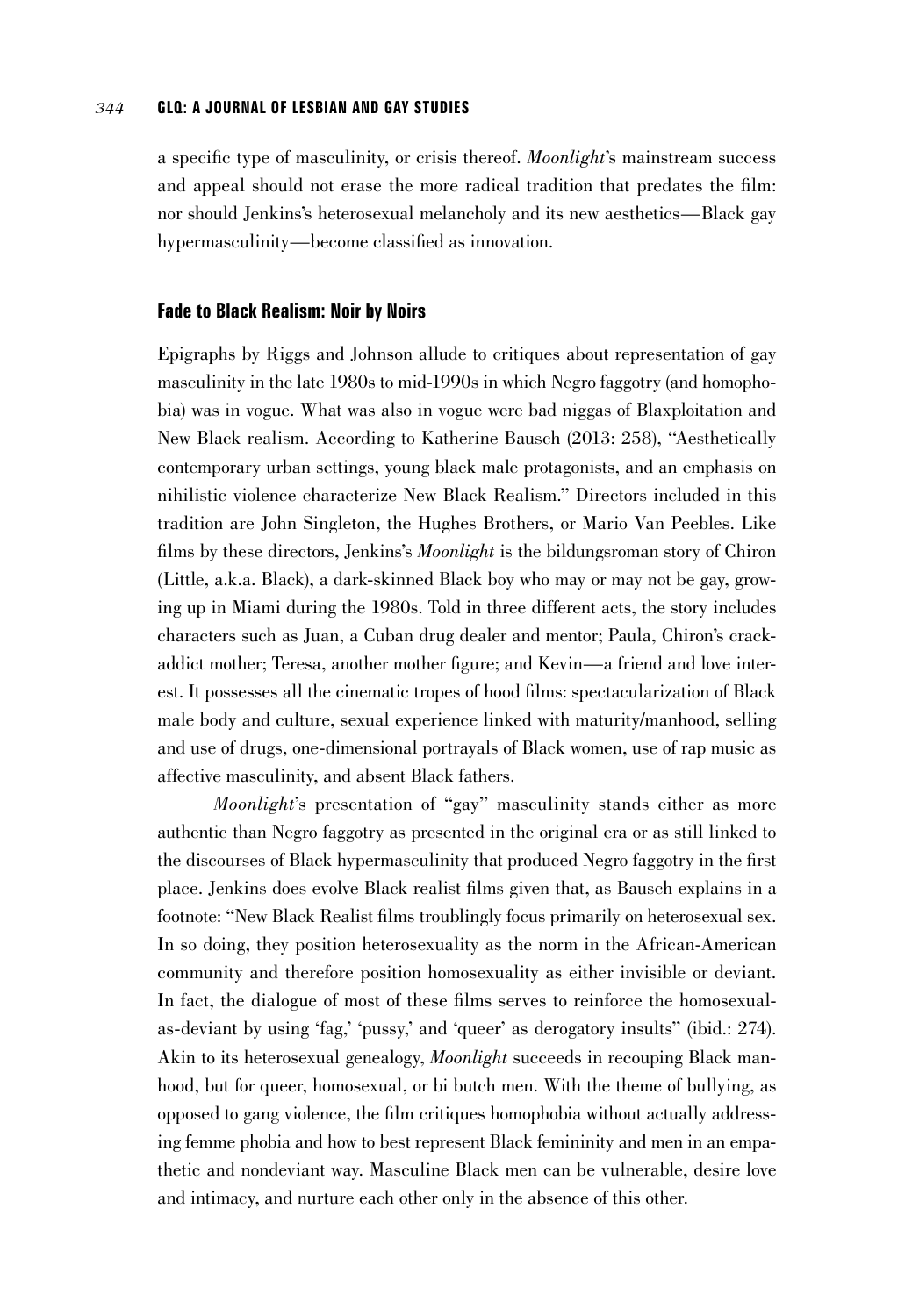a specific type of masculinity, or crisis thereof. *Moonlight*'s mainstream success and appeal should not erase the more radical tradition that predates the film: nor should Jenkins's heterosexual melancholy and its new aesthetics—Black gay hypermasculinity—become classified as innovation.

#### **Fade to Black Realism: Noir by Noirs**

Epigraphs by Riggs and Johnson allude to critiques about representation of gay masculinity in the late 1980s to mid-1990s in which Negro faggotry (and homophobia) was in vogue. What was also in vogue were bad niggas of Blaxploitation and New Black realism. According to Katherine Bausch (2013: 258), "Aesthetically contemporary urban settings, young black male protagonists, and an emphasis on nihilistic violence characterize New Black Realism." Directors included in this tradition are John Singleton, the Hughes Brothers, or Mario Van Peebles. Like films by these directors, Jenkins's *Moonlight* is the bildungsroman story of Chiron (Little, a.k.a. Black), a dark-skinned Black boy who may or may not be gay, growing up in Miami during the 1980s. Told in three different acts, the story includes characters such as Juan, a Cuban drug dealer and mentor; Paula, Chiron's crackaddict mother; Teresa, another mother figure; and Kevin—a friend and love interest. It possesses all the cinematic tropes of hood films: spectacularization of Black male body and culture, sexual experience linked with maturity/manhood, selling and use of drugs, one-dimensional portrayals of Black women, use of rap music as affective masculinity, and absent Black fathers.

*Moonlight*'s presentation of "gay" masculinity stands either as more authentic than Negro faggotry as presented in the original era or as still linked to the discourses of Black hypermasculinity that produced Negro faggotry in the first place. Jenkins does evolve Black realist films given that, as Bausch explains in a footnote: "New Black Realist films troublingly focus primarily on heterosexual sex. In so doing, they position heterosexuality as the norm in the African-American community and therefore position homosexuality as either invisible or deviant. In fact, the dialogue of most of these films serves to reinforce the homosexualas-deviant by using 'fag,' 'pussy,' and 'queer' as derogatory insults" (ibid.: 274). Akin to its heterosexual genealogy, *Moonlight* succeeds in recouping Black manhood, but for queer, homosexual, or bi butch men. With the theme of bullying, as opposed to gang violence, the film critiques homophobia without actually addressing femme phobia and how to best represent Black femininity and men in an empathetic and nondeviant way. Masculine Black men can be vulnerable, desire love and intimacy, and nurture each other only in the absence of this other.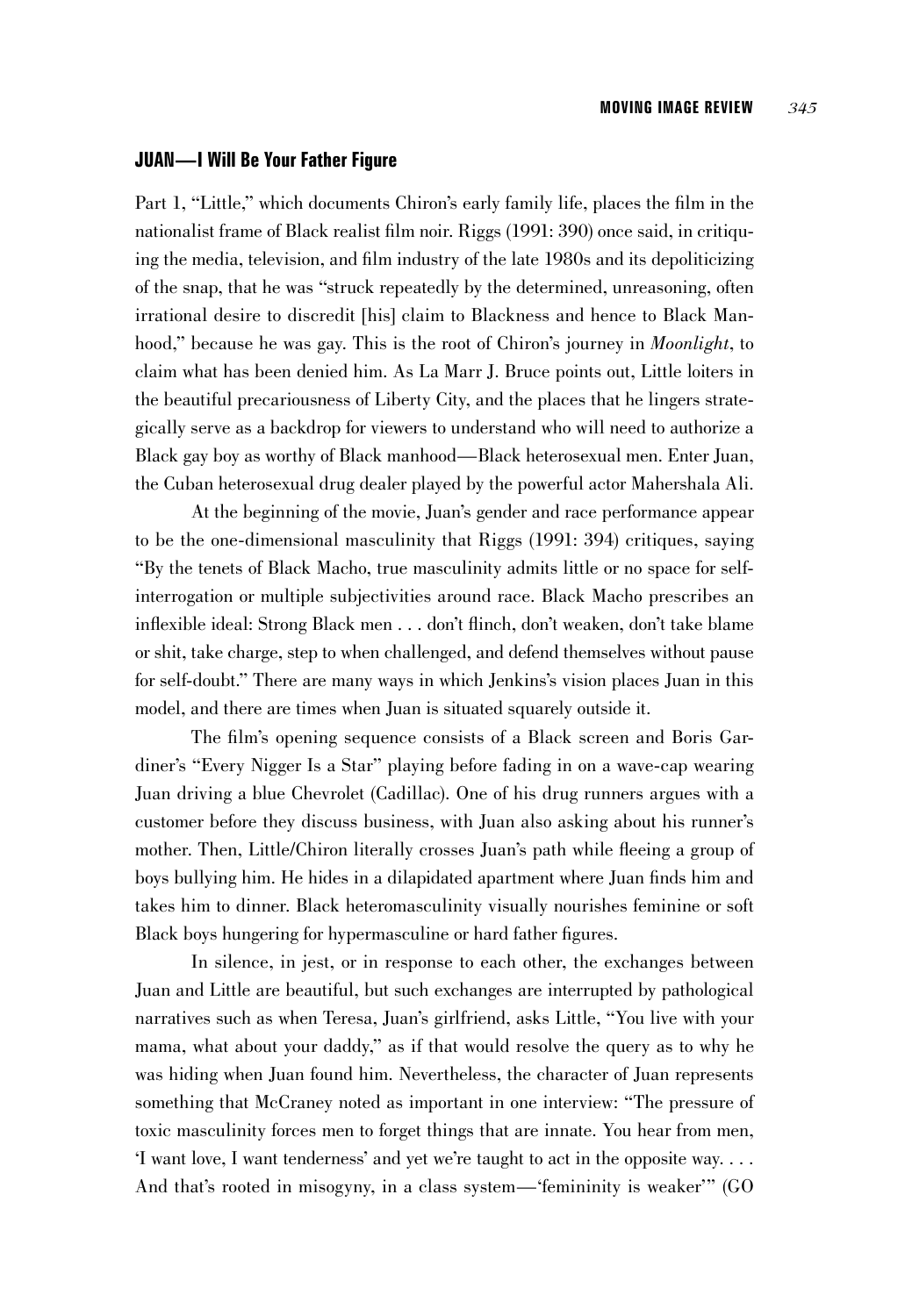### **JUAN—I Will Be Your Father Figure**

Part 1, "Little," which documents Chiron's early family life, places the film in the nationalist frame of Black realist film noir. Riggs (1991: 390) once said, in critiquing the media, television, and film industry of the late 1980s and its depoliticizing of the snap, that he was "struck repeatedly by the determined, unreasoning, often irrational desire to discredit [his] claim to Blackness and hence to Black Manhood," because he was gay. This is the root of Chiron's journey in *Moonlight*, to claim what has been denied him. As La Marr J. Bruce points out, Little loiters in the beautiful precariousness of Liberty City, and the places that he lingers strategically serve as a backdrop for viewers to understand who will need to authorize a Black gay boy as worthy of Black manhood—Black heterosexual men. Enter Juan, the Cuban heterosexual drug dealer played by the powerful actor Mahershala Ali.

At the beginning of the movie, Juan's gender and race performance appear to be the one-dimensional masculinity that Riggs (1991: 394) critiques, saying "By the tenets of Black Macho, true masculinity admits little or no space for selfinterrogation or multiple subjectivities around race. Black Macho prescribes an inflexible ideal: Strong Black men . . . don't flinch, don't weaken, don't take blame or shit, take charge, step to when challenged, and defend themselves without pause for self-doubt." There are many ways in which Jenkins's vision places Juan in this model, and there are times when Juan is situated squarely outside it.

The film's opening sequence consists of a Black screen and Boris Gardiner's "Every Nigger Is a Star" playing before fading in on a wave-cap wearing Juan driving a blue Chevrolet (Cadillac). One of his drug runners argues with a customer before they discuss business, with Juan also asking about his runner's mother. Then, Little/Chiron literally crosses Juan's path while fleeing a group of boys bullying him. He hides in a dilapidated apartment where Juan finds him and takes him to dinner. Black heteromasculinity visually nourishes feminine or soft Black boys hungering for hypermasculine or hard father figures.

In silence, in jest, or in response to each other, the exchanges between Juan and Little are beautiful, but such exchanges are interrupted by pathological narratives such as when Teresa, Juan's girlfriend, asks Little, "You live with your mama, what about your daddy," as if that would resolve the query as to why he was hiding when Juan found him. Nevertheless, the character of Juan represents something that McCraney noted as important in one interview: "The pressure of toxic masculinity forces men to forget things that are innate. You hear from men, 'I want love, I want tenderness' and yet we're taught to act in the opposite way. . . . And that's rooted in misogyny, in a class system—'femininity is weaker'" (GO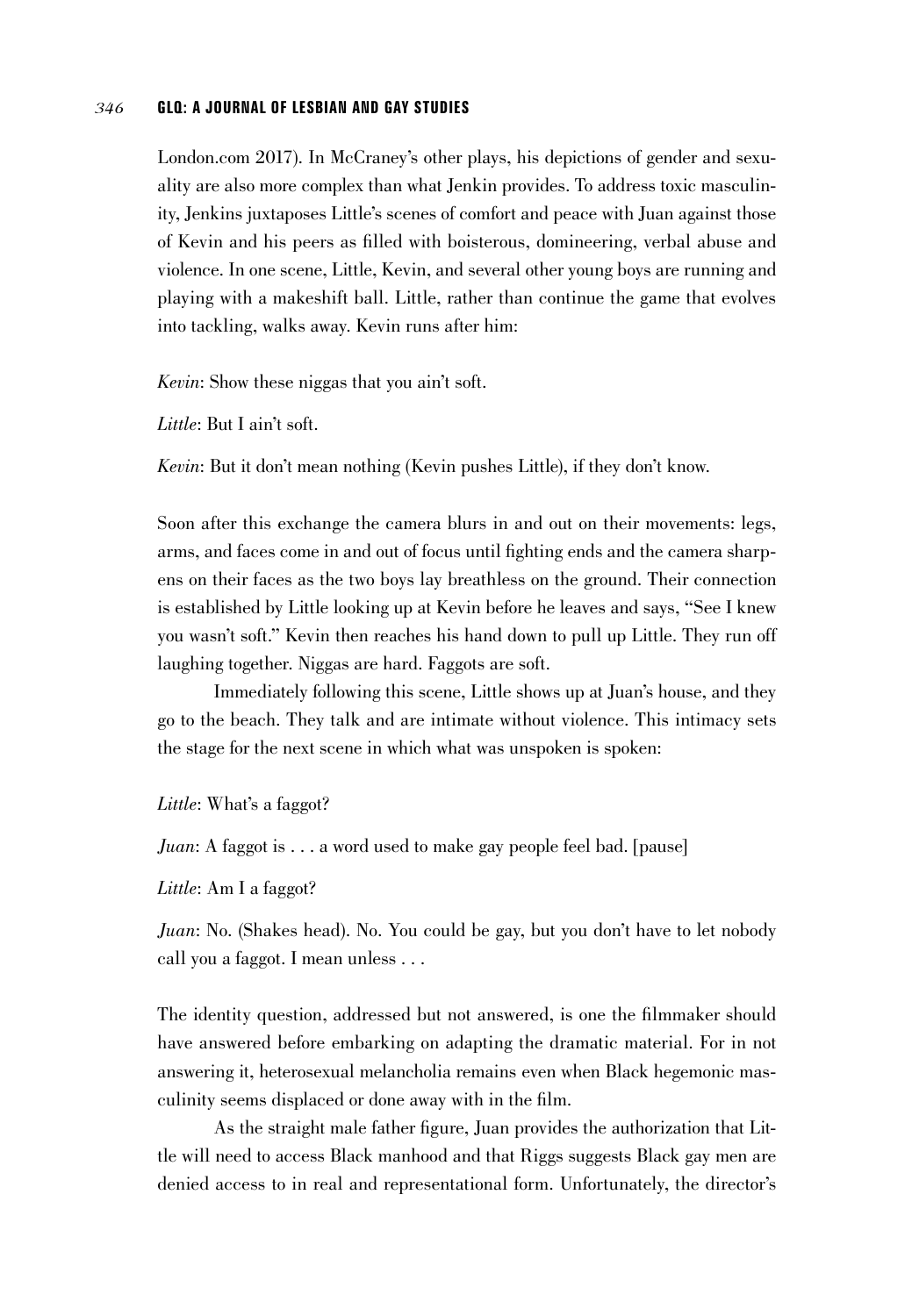London.com 2017). In McCraney's other plays, his depictions of gender and sexuality are also more complex than what Jenkin provides. To address toxic masculinity, Jenkins juxtaposes Little's scenes of comfort and peace with Juan against those of Kevin and his peers as filled with boisterous, domineering, verbal abuse and violence. In one scene, Little, Kevin, and several other young boys are running and playing with a makeshift ball. Little, rather than continue the game that evolves into tackling, walks away. Kevin runs after him:

*Kevin*: Show these niggas that you ain't soft.

*Little*: But I ain't soft.

*Kevin*: But it don't mean nothing (Kevin pushes Little), if they don't know.

Soon after this exchange the camera blurs in and out on their movements: legs, arms, and faces come in and out of focus until fighting ends and the camera sharpens on their faces as the two boys lay breathless on the ground. Their connection is established by Little looking up at Kevin before he leaves and says, "See I knew you wasn't soft." Kevin then reaches his hand down to pull up Little. They run off laughing together. Niggas are hard. Faggots are soft.

Immediately following this scene, Little shows up at Juan's house, and they go to the beach. They talk and are intimate without violence. This intimacy sets the stage for the next scene in which what was unspoken is spoken:

*Little*: What's a faggot?

*Juan*: A faggot is . . . a word used to make gay people feel bad. [pause]

*Little*: Am I a faggot?

*Juan*: No. (Shakes head). No. You could be gay, but you don't have to let nobody call you a faggot. I mean unless . . .

The identity question, addressed but not answered, is one the filmmaker should have answered before embarking on adapting the dramatic material. For in not answering it, heterosexual melancholia remains even when Black hegemonic masculinity seems displaced or done away with in the film.

As the straight male father figure, Juan provides the authorization that Little will need to access Black manhood and that Riggs suggests Black gay men are denied access to in real and representational form. Unfortunately, the director's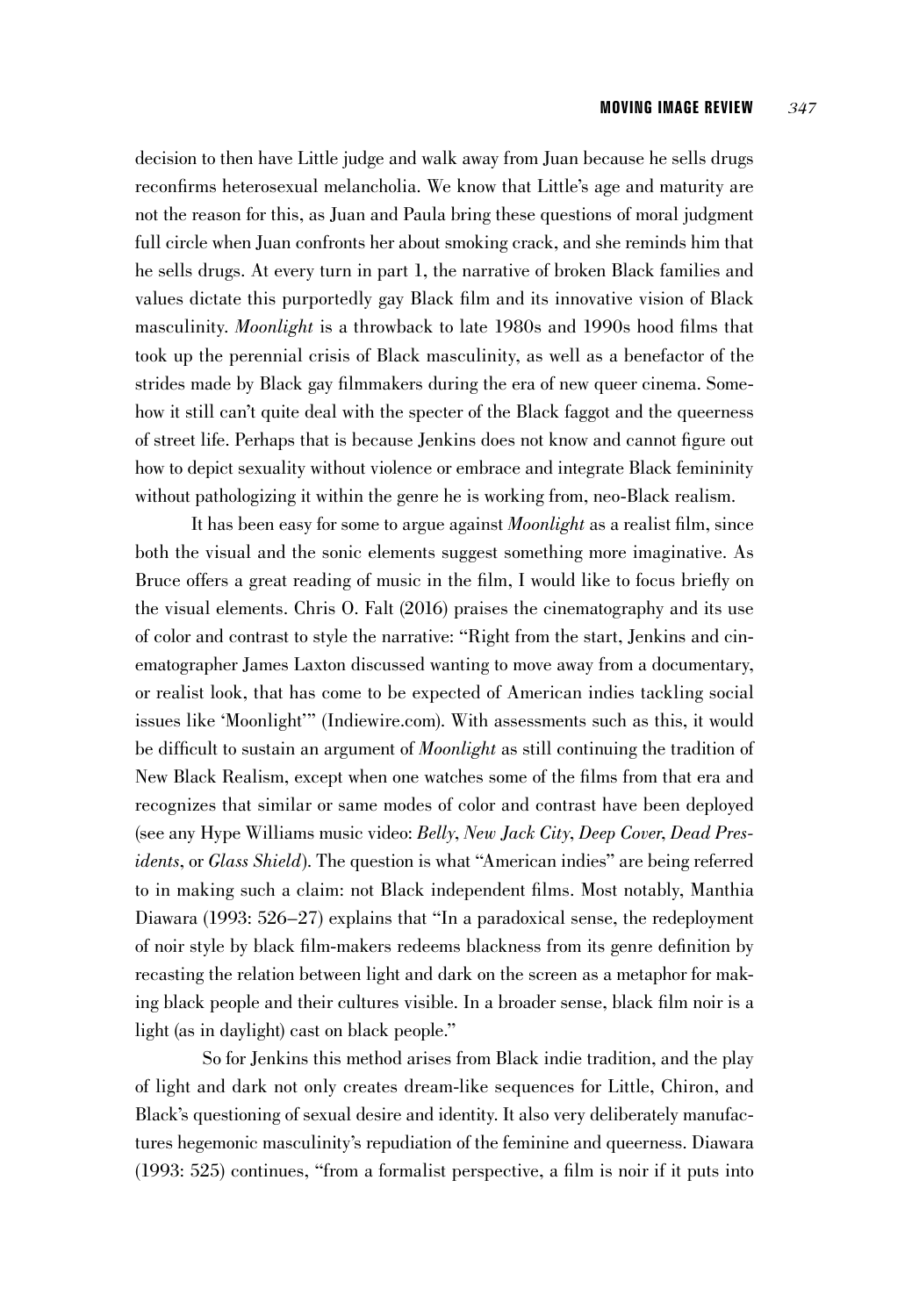decision to then have Little judge and walk away from Juan because he sells drugs reconfirms heterosexual melancholia. We know that Little's age and maturity are not the reason for this, as Juan and Paula bring these questions of moral judgment full circle when Juan confronts her about smoking crack, and she reminds him that he sells drugs. At every turn in part 1, the narrative of broken Black families and values dictate this purportedly gay Black film and its innovative vision of Black masculinity. *Moonlight* is a throwback to late 1980s and 1990s hood films that took up the perennial crisis of Black masculinity, as well as a benefactor of the strides made by Black gay filmmakers during the era of new queer cinema. Somehow it still can't quite deal with the specter of the Black faggot and the queerness of street life. Perhaps that is because Jenkins does not know and cannot figure out how to depict sexuality without violence or embrace and integrate Black femininity without pathologizing it within the genre he is working from, neo-Black realism.

It has been easy for some to argue against *Moonlight* as a realist film, since both the visual and the sonic elements suggest something more imaginative. As Bruce offers a great reading of music in the film, I would like to focus briefly on the visual elements. Chris O. Falt (2016) praises the cinematography and its use of color and contrast to style the narrative: "Right from the start, Jenkins and cinematographer James Laxton discussed wanting to move away from a documentary, or realist look, that has come to be expected of American indies tackling social issues like 'Moonlight'" (Indiewire.com). With assessments such as this, it would be difficult to sustain an argument of *Moonlight* as still continuing the tradition of New Black Realism, except when one watches some of the films from that era and recognizes that similar or same modes of color and contrast have been deployed (see any Hype Williams music video: *Belly*, *New Jack City*, *Deep Cover*, *Dead Presidents*, or *Glass Shield*). The question is what "American indies" are being referred to in making such a claim: not Black independent films. Most notably, Manthia Diawara (1993: 526–27) explains that "In a paradoxical sense, the redeployment of noir style by black film-makers redeems blackness from its genre definition by recasting the relation between light and dark on the screen as a metaphor for making black people and their cultures visible. In a broader sense, black film noir is a light (as in daylight) cast on black people."

So for Jenkins this method arises from Black indie tradition, and the play of light and dark not only creates dream-like sequences for Little, Chiron, and Black's questioning of sexual desire and identity. It also very deliberately manufactures hegemonic masculinity's repudiation of the feminine and queerness. Diawara (1993: 525) continues, "from a formalist perspective, a film is noir if it puts into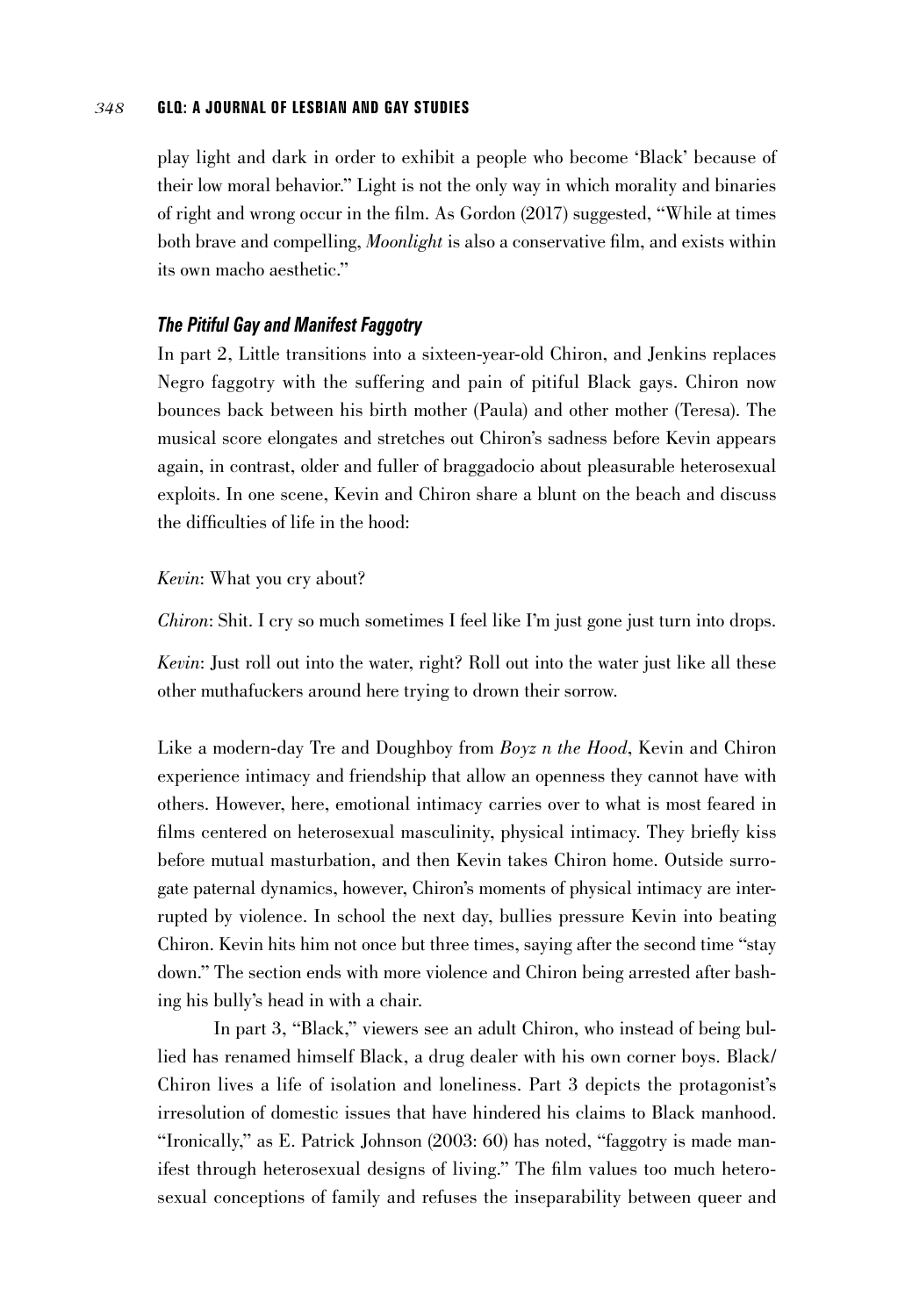play light and dark in order to exhibit a people who become 'Black' because of their low moral behavior." Light is not the only way in which morality and binaries of right and wrong occur in the film. As Gordon (2017) suggested, "While at times both brave and compelling, *Moonlight* is also a conservative film, and exists within its own macho aesthetic."

# *The Pitiful Gay and Manifest Faggotry*

In part 2, Little transitions into a sixteen-year-old Chiron, and Jenkins replaces Negro faggotry with the suffering and pain of pitiful Black gays. Chiron now bounces back between his birth mother (Paula) and other mother (Teresa). The musical score elongates and stretches out Chiron's sadness before Kevin appears again, in contrast, older and fuller of braggadocio about pleasurable heterosexual exploits. In one scene, Kevin and Chiron share a blunt on the beach and discuss the difficulties of life in the hood:

#### *Kevin*: What you cry about?

*Chiron*: Shit. I cry so much sometimes I feel like I'm just gone just turn into drops.

*Kevin*: Just roll out into the water, right? Roll out into the water just like all these other muthafuckers around here trying to drown their sorrow.

Like a modern-day Tre and Doughboy from *Boyz n the Hood*, Kevin and Chiron experience intimacy and friendship that allow an openness they cannot have with others. However, here, emotional intimacy carries over to what is most feared in films centered on heterosexual masculinity, physical intimacy. They briefly kiss before mutual masturbation, and then Kevin takes Chiron home. Outside surrogate paternal dynamics, however, Chiron's moments of physical intimacy are interrupted by violence. In school the next day, bullies pressure Kevin into beating Chiron. Kevin hits him not once but three times, saying after the second time "stay down." The section ends with more violence and Chiron being arrested after bashing his bully's head in with a chair.

In part 3, "Black," viewers see an adult Chiron, who instead of being bullied has renamed himself Black, a drug dealer with his own corner boys. Black/ Chiron lives a life of isolation and loneliness. Part 3 depicts the protagonist's irresolution of domestic issues that have hindered his claims to Black manhood. "Ironically," as E. Patrick Johnson (2003: 60) has noted, "faggotry is made manifest through heterosexual designs of living." The film values too much heterosexual conceptions of family and refuses the inseparability between queer and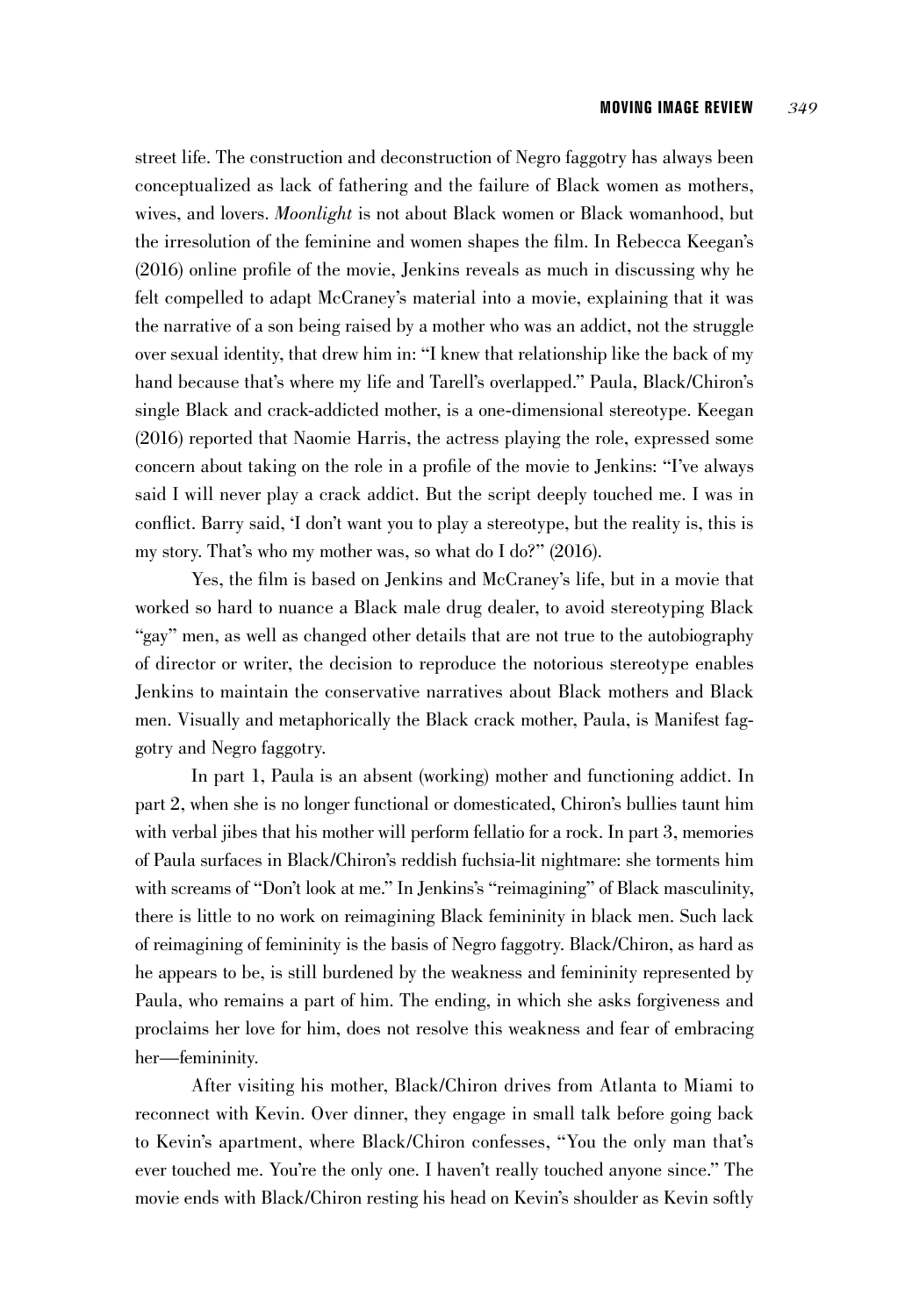street life. The construction and deconstruction of Negro faggotry has always been conceptualized as lack of fathering and the failure of Black women as mothers, wives, and lovers. *Moonlight* is not about Black women or Black womanhood, but the irresolution of the feminine and women shapes the film. In Rebecca Keegan's (2016) online profile of the movie, Jenkins reveals as much in discussing why he felt compelled to adapt McCraney's material into a movie, explaining that it was the narrative of a son being raised by a mother who was an addict, not the struggle over sexual identity, that drew him in: "I knew that relationship like the back of my hand because that's where my life and Tarell's overlapped." Paula, Black/Chiron's single Black and crack-addicted mother, is a one-dimensional stereotype. Keegan (2016) reported that Naomie Harris, the actress playing the role, expressed some concern about taking on the role in a profile of the movie to Jenkins: "I've always said I will never play a crack addict. But the script deeply touched me. I was in conflict. Barry said, 'I don't want you to play a stereotype, but the reality is, this is my story. That's who my mother was, so what do I do?" (2016).

Yes, the film is based on Jenkins and McCraney's life, but in a movie that worked so hard to nuance a Black male drug dealer, to avoid stereotyping Black "gay" men, as well as changed other details that are not true to the autobiography of director or writer, the decision to reproduce the notorious stereotype enables Jenkins to maintain the conservative narratives about Black mothers and Black men. Visually and metaphorically the Black crack mother, Paula, is Manifest faggotry and Negro faggotry.

In part 1, Paula is an absent (working) mother and functioning addict. In part 2, when she is no longer functional or domesticated, Chiron's bullies taunt him with verbal jibes that his mother will perform fellatio for a rock. In part 3, memories of Paula surfaces in Black/Chiron's reddish fuchsia-lit nightmare: she torments him with screams of "Don't look at me." In Jenkins's "reimagining" of Black masculinity, there is little to no work on reimagining Black femininity in black men. Such lack of reimagining of femininity is the basis of Negro faggotry. Black/Chiron, as hard as he appears to be, is still burdened by the weakness and femininity represented by Paula, who remains a part of him. The ending, in which she asks forgiveness and proclaims her love for him, does not resolve this weakness and fear of embracing her—femininity.

After visiting his mother, Black/Chiron drives from Atlanta to Miami to reconnect with Kevin. Over dinner, they engage in small talk before going back to Kevin's apartment, where Black/Chiron confesses, "You the only man that's ever touched me. You're the only one. I haven't really touched anyone since." The movie ends with Black/Chiron resting his head on Kevin's shoulder as Kevin softly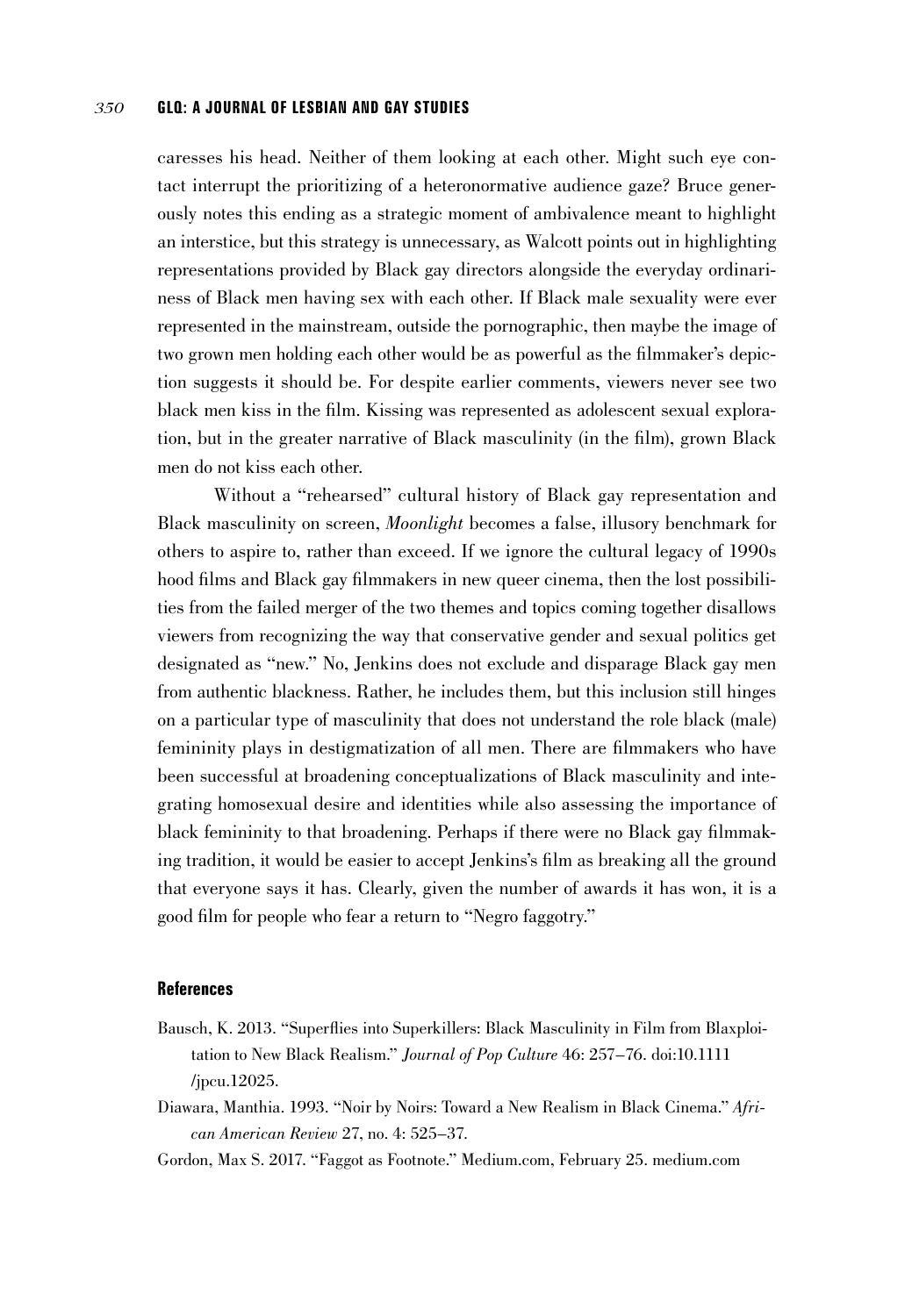caresses his head. Neither of them looking at each other. Might such eye contact interrupt the prioritizing of a heteronormative audience gaze? Bruce generously notes this ending as a strategic moment of ambivalence meant to highlight an interstice, but this strategy is unnecessary, as Walcott points out in highlighting representations provided by Black gay directors alongside the everyday ordinariness of Black men having sex with each other. If Black male sexuality were ever represented in the mainstream, outside the pornographic, then maybe the image of two grown men holding each other would be as powerful as the filmmaker's depiction suggests it should be. For despite earlier comments, viewers never see two black men kiss in the film. Kissing was represented as adolescent sexual exploration, but in the greater narrative of Black masculinity (in the film), grown Black men do not kiss each other.

Without a "rehearsed" cultural history of Black gay representation and Black masculinity on screen, *Moonlight* becomes a false, illusory benchmark for others to aspire to, rather than exceed. If we ignore the cultural legacy of 1990s hood films and Black gay filmmakers in new queer cinema, then the lost possibilities from the failed merger of the two themes and topics coming together disallows viewers from recognizing the way that conservative gender and sexual politics get designated as "new." No, Jenkins does not exclude and disparage Black gay men from authentic blackness. Rather, he includes them, but this inclusion still hinges on a particular type of masculinity that does not understand the role black (male) femininity plays in destigmatization of all men. There are filmmakers who have been successful at broadening conceptualizations of Black masculinity and integrating homosexual desire and identities while also assessing the importance of black femininity to that broadening. Perhaps if there were no Black gay filmmaking tradition, it would be easier to accept Jenkins's film as breaking all the ground that everyone says it has. Clearly, given the number of awards it has won, it is a good film for people who fear a return to "Negro faggotry."

#### **References**

- Bausch, K. 2013. "Superflies into Superkillers: Black Masculinity in Film from Blaxploitation to New Black Realism." *Journal of Pop Culture* 46: 257–76. doi:10.1111 /jpcu.12025.
- Diawara, Manthia. 1993. "Noir by Noirs: Toward a New Realism in Black Cinema." *African American Review* 27, no. 4: 525–37.
- Gordon, Max S. 2017. "Faggot as Footnote." Medium.com, February 25. medium.com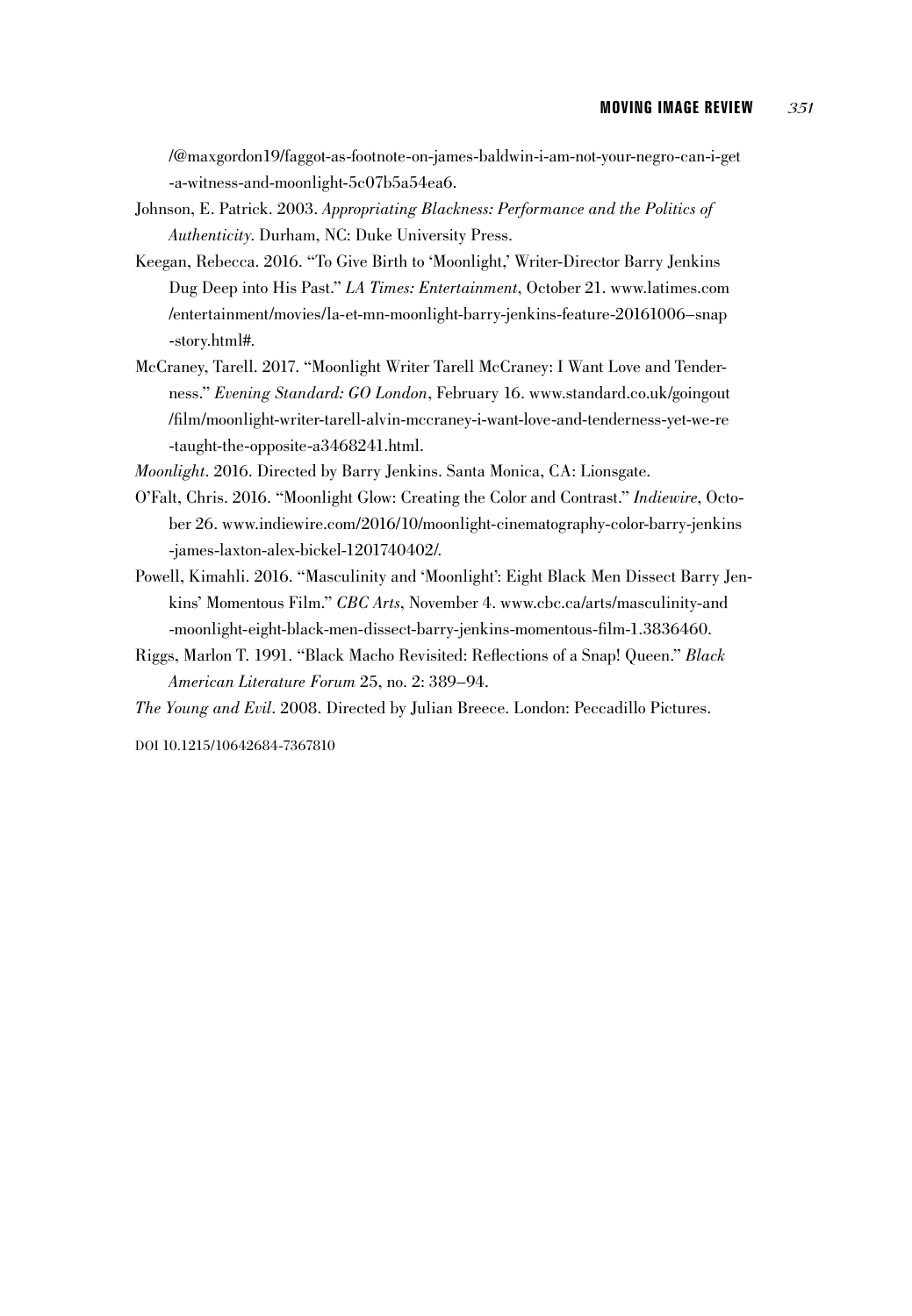/@maxgordon19/faggot-as-footnote-on-james-baldwin-i-am-not-your-negro-can-i-get -a-witness-and-moonlight-5c07b5a54ea6.

- Johnson, E. Patrick. 2003. *Appropriating Blackness: Performance and the Politics of Authenticity*. Durham, NC: Duke University Press.
- Keegan, Rebecca. 2016. "To Give Birth to 'Moonlight,' Writer-Director Barry Jenkins Dug Deep into His Past." *LA Times: Entertainment*, October 21. www.latimes.com /entertainment/movies/la-et-mn-moonlight-barry-jenkins-feature-20161006–snap -story.html#.
- McCraney, Tarell. 2017. "Moonlight Writer Tarell McCraney: I Want Love and Tenderness." *Evening Standard: GO London*, February 16. www.standard.co.uk/goingout /film/moonlight-writer-tarell-alvin-mccraney-i-want-love-and-tenderness-yet-we-re -taught-the-opposite-a3468241.html.

*Moonlight*. 2016. Directed by Barry Jenkins. Santa Monica, CA: Lionsgate.

- O'Falt, Chris. 2016. "Moonlight Glow: Creating the Color and Contrast." *Indiewire*, October 26. www.indiewire.com/2016/10/moonlight-cinematography-color-barry-jenkins -james-laxton-alex-bickel-1201740402/.
- Powell, Kimahli. 2016. "Masculinity and 'Moonlight': Eight Black Men Dissect Barry Jenkins' Momentous Film." *CBC Arts*, November 4. www.cbc.ca/arts/masculinity-and -moonlight-eight-black-men-dissect-barry-jenkins-momentous-film-1.3836460.
- Riggs, Marlon T. 1991. "Black Macho Revisited: Reflections of a Snap! Queen." *Black American Literature Forum* 25, no. 2: 389–94.

*The Young and Evil*. 2008. Directed by Julian Breece. London: Peccadillo Pictures.

DOI 10.1215/10642684-7367810